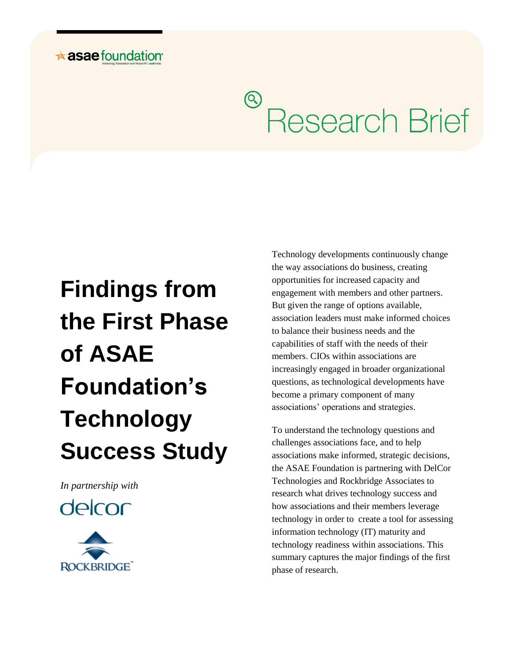## $\star$  asae foundation

# <sup>®</sup> Research Brief

# **Findings from the First Phase of ASAE Foundation's Technology Success Study**

*In partnership with*





Technology developments continuously change the way associations do business, creating opportunities for increased capacity and engagement with members and other partners. But given the range of options available, association leaders must make informed choices to balance their business needs and the capabilities of staff with the needs of their members. CIOs within associations are increasingly engaged in broader organizational questions, as technological developments have become a primary component of many associations' operations and strategies.

To understand the technology questions and challenges associations face, and to help associations make informed, strategic decisions, the ASAE Foundation is partnering with DelCor Technologies and Rockbridge Associates to research what drives technology success and how associations and their members leverage technology in order to create a tool for assessing information technology (IT) maturity and technology readiness within associations. This summary captures the major findings of the first phase of research.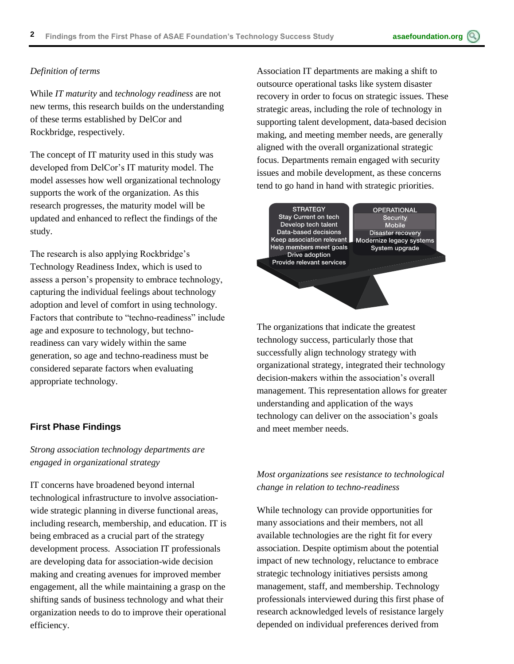#### *Definition of terms*

While *IT maturity* and *technology readiness* are not new terms, this research builds on the understanding of these terms established by DelCor and Rockbridge, respectively.

The concept of IT maturity used in this study was developed from DelCor's IT maturity model. The model assesses how well organizational technology supports the work of the organization. As this research progresses, the maturity model will be updated and enhanced to reflect the findings of the study.

The research is also applying Rockbridge's Technology Readiness Index, which is used to assess a person's propensity to embrace technology, capturing the individual feelings about technology adoption and level of comfort in using technology. Factors that contribute to "techno-readiness" include age and exposure to technology, but technoreadiness can vary widely within the same generation, so age and techno-readiness must be considered separate factors when evaluating appropriate technology.

#### **First Phase Findings**

#### *Strong association technology departments are engaged in organizational strategy*

IT concerns have broadened beyond internal technological infrastructure to involve associationwide strategic planning in diverse functional areas, including research, membership, and education. IT is being embraced as a crucial part of the strategy development process. Association IT professionals are developing data for association-wide decision making and creating avenues for improved member engagement, all the while maintaining a grasp on the shifting sands of business technology and what their organization needs to do to improve their operational efficiency.

Association IT departments are making a shift to outsource operational tasks like system disaster recovery in order to focus on strategic issues. These strategic areas, including the role of technology in supporting talent development, data-based decision making, and meeting member needs, are generally aligned with the overall organizational strategic focus. Departments remain engaged with security issues and mobile development, as these concerns tend to go hand in hand with strategic priorities.

**STRATEGY** Stay Current on tech Develop tech talent Data-based decisions Keep association relevant Help members meet goals Drive adoption Provide relevant services

**OPERATIONAL** Security Mobile Disaster recovery Modernize legacy systems System upgrade

The organizations that indicate the greatest technology success, particularly those that successfully align technology strategy with organizational strategy, integrated their technology decision-makers within the association's overall management. This representation allows for greater understanding and application of the ways technology can deliver on the association's goals and meet member needs.

#### *Most organizations see resistance to technological change in relation to techno-readiness*

While technology can provide opportunities for many associations and their members, not all available technologies are the right fit for every association. Despite optimism about the potential impact of new technology, reluctance to embrace strategic technology initiatives persists among management, staff, and membership. Technology professionals interviewed during this first phase of research acknowledged levels of resistance largely depended on individual preferences derived from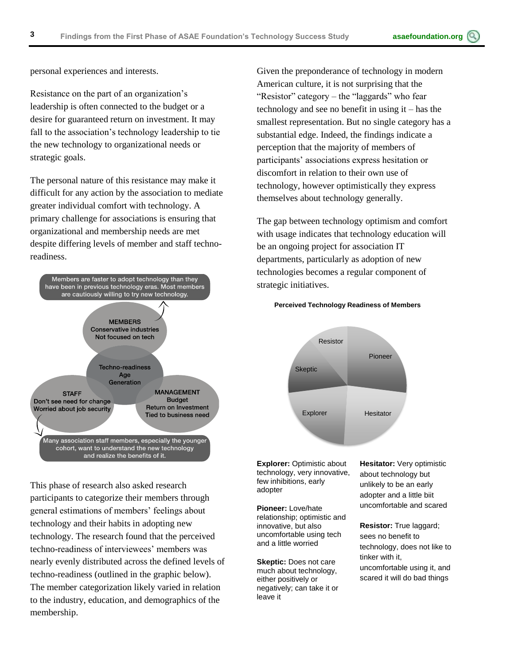personal experiences and interests.

Resistance on the part of an organization's leadership is often connected to the budget or a desire for guaranteed return on investment. It may fall to the association's technology leadership to tie the new technology to organizational needs or strategic goals.

The personal nature of this resistance may make it difficult for any action by the association to mediate greater individual comfort with technology. A primary challenge for associations is ensuring that organizational and membership needs are met despite differing levels of member and staff technoreadiness.



This phase of research also asked research participants to categorize their members through general estimations of members' feelings about technology and their habits in adopting new technology. The research found that the perceived techno-readiness of interviewees' members was nearly evenly distributed across the defined levels of techno-readiness (outlined in the graphic below). The member categorization likely varied in relation to the industry, education, and demographics of the membership.

Given the preponderance of technology in modern American culture, it is not surprising that the "Resistor" category – the "laggards" who fear technology and see no benefit in using it – has the smallest representation. But no single category has a substantial edge. Indeed, the findings indicate a perception that the majority of members of participants' associations express hesitation or discomfort in relation to their own use of technology, however optimistically they express themselves about technology generally.

The gap between technology optimism and comfort with usage indicates that technology education will be an ongoing project for association IT departments, particularly as adoption of new technologies becomes a regular component of strategic initiatives.



**Perceived Technology Readiness of Members**

**Explorer:** Optimistic about technology, very innovative, few inhibitions, early adopter

**Pioneer:** Love/hate relationship; optimistic and innovative, but also uncomfortable using tech and a little worried

**Skeptic:** Does not care much about technology, either positively or negatively; can take it or leave it

**Hesitator:** Very optimistic about technology but unlikely to be an early adopter and a little biit uncomfortable and scared

**Resistor:** True laggard; sees no benefit to technology, does not like to tinker with it,

uncomfortable using it, and scared it will do bad things